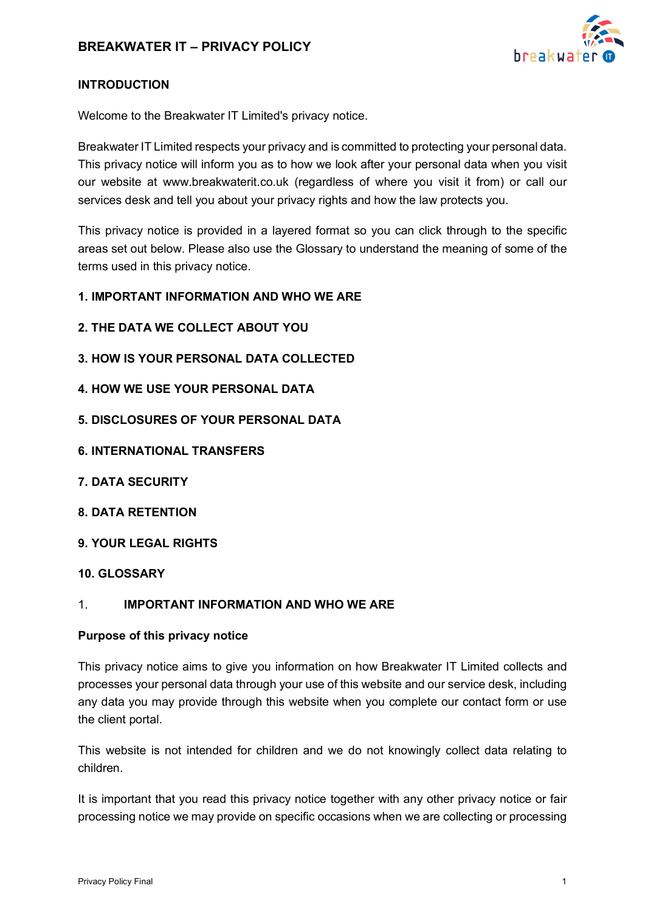

## **INTRODUCTION**

Welcome to the Breakwater IT Limited's privacy notice.

Breakwater IT Limited respects your privacy and is committed to protecting your personal data. This privacy notice will inform you as to how we look after your personal data when you visit our website at www.breakwaterit.co.uk (regardless of where you visit it from) or call our services desk and tell you about your privacy rights and how the law protects you.

This privacy notice is provided in a layered format so you can click through to the specific areas set out below. Please also use the Glossary to understand the meaning of some of the terms used in this privacy notice.

#### **1. IMPORTANT INFORMATION AND WHO WE ARE**

- **2. THE DATA WE COLLECT ABOUT YOU**
- **3. HOW IS YOUR PERSONAL DATA COLLECTED**
- **4. HOW WE USE YOUR PERSONAL DATA**
- **5. DISCLOSURES OF YOUR PERSONAL DATA**
- **6. INTERNATIONAL TRANSFERS**
- **7. DATA SECURITY**
- **8. DATA RETENTION**
- **9. YOUR LEGAL RIGHTS**
- **10. GLOSSARY**

#### 1. **IMPORTANT INFORMATION AND WHO WE ARE**

#### **Purpose of this privacy notice**

This privacy notice aims to give you information on how Breakwater IT Limited collects and processes your personal data through your use of this website and our service desk, including any data you may provide through this website when you complete our contact form or use the client portal.

This website is not intended for children and we do not knowingly collect data relating to children.

It is important that you read this privacy notice together with any other privacy notice or fair processing notice we may provide on specific occasions when we are collecting or processing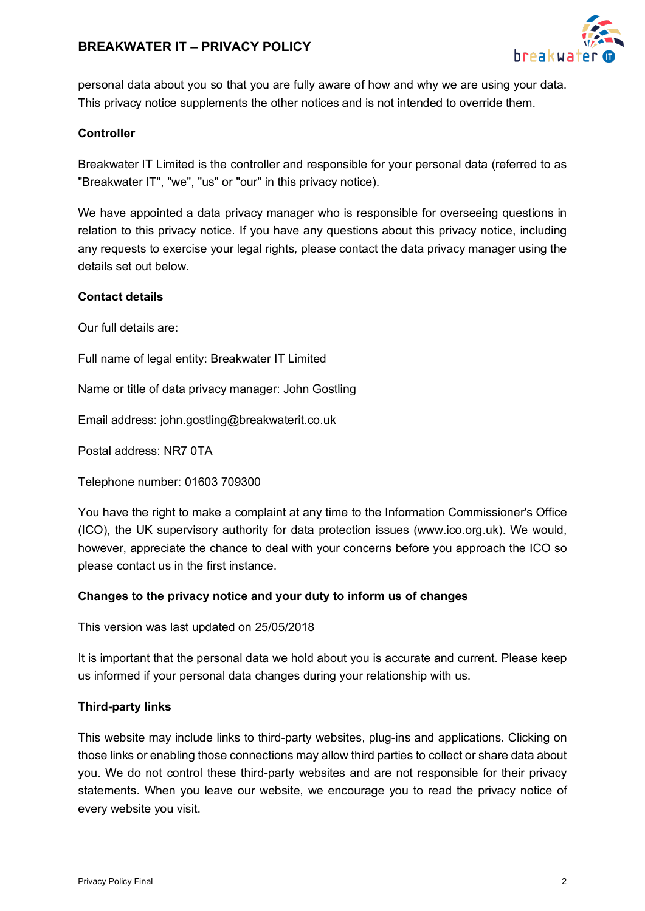

personal data about you so that you are fully aware of how and why we are using your data. This privacy notice supplements the other notices and is not intended to override them.

## **Controller**

Breakwater IT Limited is the controller and responsible for your personal data (referred to as "Breakwater IT", "we", "us" or "our" in this privacy notice).

We have appointed a data privacy manager who is responsible for overseeing questions in relation to this privacy notice. If you have any questions about this privacy notice, including any requests to exercise your legal rights*,* please contact the data privacy manager using the details set out below.

## **Contact details**

Our full details are:

Full name of legal entity: Breakwater IT Limited

Name or title of data privacy manager: John Gostling

Email address: john.gostling@breakwaterit.co.uk

Postal address: NR7 0TA

Telephone number: 01603 709300

You have the right to make a complaint at any time to the Information Commissioner's Office (ICO), the UK supervisory authority for data protection issues (www.ico.org.uk). We would, however, appreciate the chance to deal with your concerns before you approach the ICO so please contact us in the first instance.

## **Changes to the privacy notice and your duty to inform us of changes**

This version was last updated on 25/05/2018

It is important that the personal data we hold about you is accurate and current. Please keep us informed if your personal data changes during your relationship with us.

## **Third-party links**

This website may include links to third-party websites, plug-ins and applications. Clicking on those links or enabling those connections may allow third parties to collect or share data about you. We do not control these third-party websites and are not responsible for their privacy statements. When you leave our website, we encourage you to read the privacy notice of every website you visit.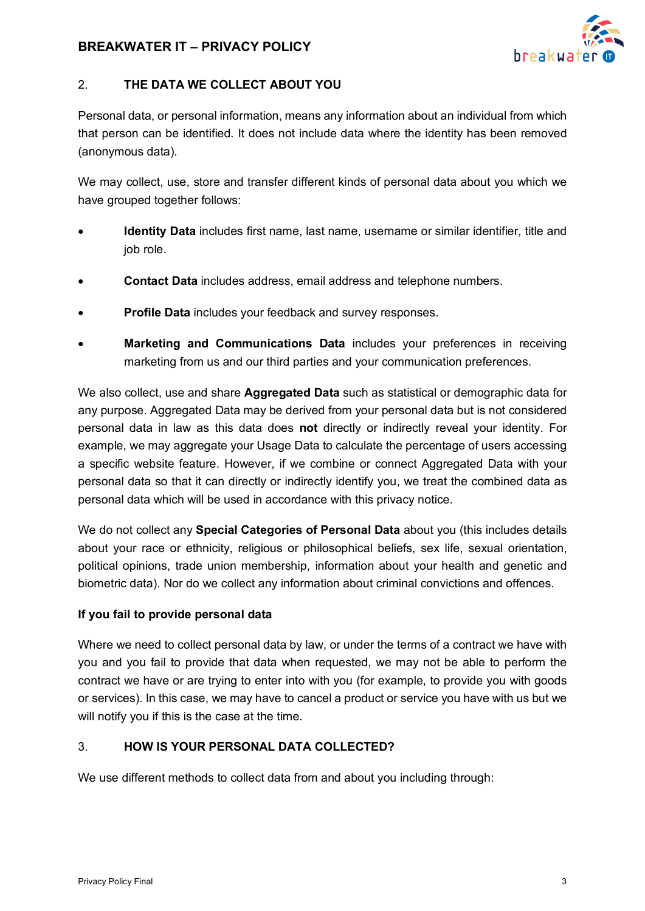

## 2. **THE DATA WE COLLECT ABOUT YOU**

Personal data, or personal information, means any information about an individual from which that person can be identified. It does not include data where the identity has been removed (anonymous data).

We may collect, use, store and transfer different kinds of personal data about you which we have grouped together follows:

- **Identity Data** includes first name, last name, username or similar identifier, title and job role.
- **Contact Data** includes address, email address and telephone numbers.
- **Profile Data** includes your feedback and survey responses.
- **Marketing and Communications Data** includes your preferences in receiving marketing from us and our third parties and your communication preferences.

We also collect, use and share **Aggregated Data** such as statistical or demographic data for any purpose. Aggregated Data may be derived from your personal data but is not considered personal data in law as this data does **not** directly or indirectly reveal your identity. For example, we may aggregate your Usage Data to calculate the percentage of users accessing a specific website feature. However, if we combine or connect Aggregated Data with your personal data so that it can directly or indirectly identify you, we treat the combined data as personal data which will be used in accordance with this privacy notice.

We do not collect any **Special Categories of Personal Data** about you (this includes details about your race or ethnicity, religious or philosophical beliefs, sex life, sexual orientation, political opinions, trade union membership, information about your health and genetic and biometric data). Nor do we collect any information about criminal convictions and offences.

## **If you fail to provide personal data**

Where we need to collect personal data by law, or under the terms of a contract we have with you and you fail to provide that data when requested, we may not be able to perform the contract we have or are trying to enter into with you (for example, to provide you with goods or services). In this case, we may have to cancel a product or service you have with us but we will notify you if this is the case at the time.

## 3. **HOW IS YOUR PERSONAL DATA COLLECTED?**

We use different methods to collect data from and about you including through: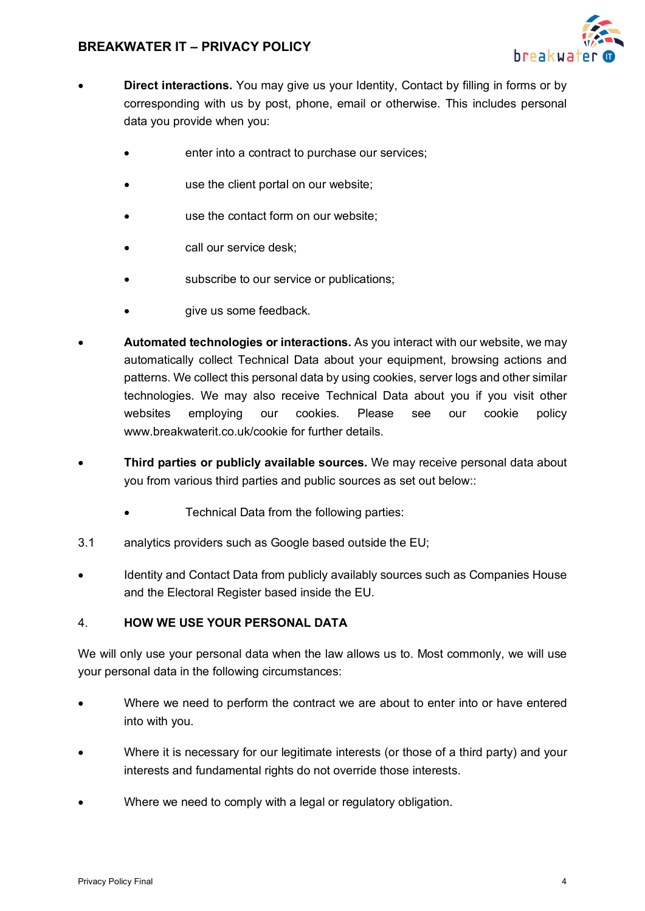

- **Direct interactions.** You may give us your Identity, Contact by filling in forms or by corresponding with us by post, phone, email or otherwise. This includes personal data you provide when you:
	- enter into a contract to purchase our services;
	- use the client portal on our website:
	- use the contact form on our website:
	- call our service desk;
	- subscribe to our service or publications;
	- give us some feedback.
- **Automated technologies or interactions.** As you interact with our website, we may automatically collect Technical Data about your equipment, browsing actions and patterns. We collect this personal data by using cookies, server logs and other similar technologies. We may also receive Technical Data about you if you visit other websites employing our cookies. Please see our cookie policy www.breakwaterit.co.uk/cookie for further details.
- **Third parties or publicly available sources.** We may receive personal data about you from various third parties and public sources as set out below::
	- Technical Data from the following parties:
- 3.1 analytics providers such as Google based outside the EU;
- Identity and Contact Data from publicly availably sources such as Companies House and the Electoral Register based inside the EU.

## 4. **HOW WE USE YOUR PERSONAL DATA**

We will only use your personal data when the law allows us to. Most commonly, we will use your personal data in the following circumstances:

- Where we need to perform the contract we are about to enter into or have entered into with you.
- Where it is necessary for our legitimate interests (or those of a third party) and your interests and fundamental rights do not override those interests.
- Where we need to comply with a legal or regulatory obligation.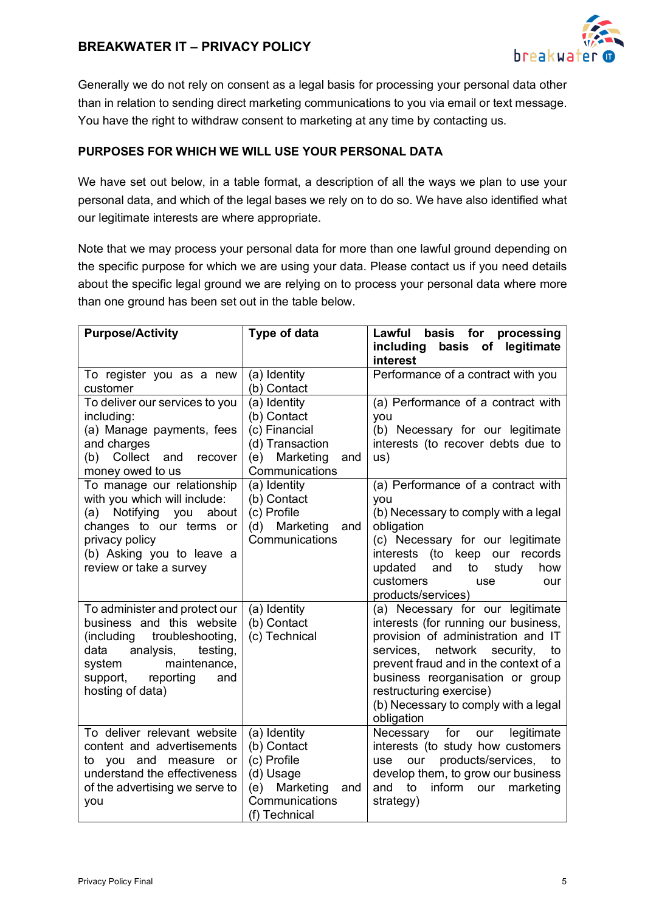

Generally we do not rely on consent as a legal basis for processing your personal data other than in relation to sending direct marketing communications to you via email or text message. You have the right to withdraw consent to marketing at any time by contacting us.

## **PURPOSES FOR WHICH WE WILL USE YOUR PERSONAL DATA**

We have set out below, in a table format, a description of all the ways we plan to use your personal data, and which of the legal bases we rely on to do so. We have also identified what our legitimate interests are where appropriate.

Note that we may process your personal data for more than one lawful ground depending on the specific purpose for which we are using your data. Please contact us if you need details about the specific legal ground we are relying on to process your personal data where more than one ground has been set out in the table below.

| <b>Purpose/Activity</b>                                                                                                                                                                                     | Type of data                                                                                                       | Lawful basis for processing<br>legitimate<br>including<br>basis of<br>interest                                                                                                                                                                                                                                    |
|-------------------------------------------------------------------------------------------------------------------------------------------------------------------------------------------------------------|--------------------------------------------------------------------------------------------------------------------|-------------------------------------------------------------------------------------------------------------------------------------------------------------------------------------------------------------------------------------------------------------------------------------------------------------------|
| To register you as a new<br>customer                                                                                                                                                                        | (a) Identity<br>(b) Contact                                                                                        | Performance of a contract with you                                                                                                                                                                                                                                                                                |
| To deliver our services to you<br>including:<br>(a) Manage payments, fees<br>and charges<br>Collect<br>and<br>recover<br>(b)<br>money owed to us                                                            | (a) Identity<br>(b) Contact<br>(c) Financial<br>(d) Transaction<br>(e) Marketing<br>and<br>Communications          | (a) Performance of a contract with<br>you<br>(b) Necessary for our legitimate<br>interests (to recover debts due to<br>us)                                                                                                                                                                                        |
| To manage our relationship<br>with you which will include:<br>(a) Notifying<br>you<br>about<br>changes to our terms or<br>privacy policy<br>(b) Asking you to leave a<br>review or take a survey            | (a) Identity<br>(b) Contact<br>(c) Profile<br>(d) Marketing<br>and<br>Communications                               | (a) Performance of a contract with<br>vou<br>(b) Necessary to comply with a legal<br>obligation<br>(c) Necessary for our legitimate<br>(to keep our records<br>interests<br>updated<br>and<br>to<br>study<br>how<br>customers<br>use<br>our<br>products/services)                                                 |
| To administer and protect our<br>business and this website<br>troubleshooting,<br>(including<br>analysis,<br>data<br>testing,<br>maintenance,<br>system<br>reporting<br>support,<br>and<br>hosting of data) | (a) Identity<br>(b) Contact<br>(c) Technical                                                                       | (a) Necessary for our legitimate<br>interests (for running our business,<br>provision of administration and IT<br>services, network security,<br>to<br>prevent fraud and in the context of a<br>business reorganisation or group<br>restructuring exercise)<br>(b) Necessary to comply with a legal<br>obligation |
| To deliver relevant website<br>content and advertisements<br>you and<br>to<br>measure<br>or<br>understand the effectiveness<br>of the advertising we serve to<br>you                                        | (a) Identity<br>(b) Contact<br>(c) Profile<br>(d) Usage<br>(e) Marketing<br>and<br>Communications<br>(f) Technical | Necessary<br>legitimate<br>for<br>our<br>interests (to study how customers<br>our products/services, to<br>use<br>develop them, to grow our business<br>inform our<br>and<br>to<br>marketing<br>strategy)                                                                                                         |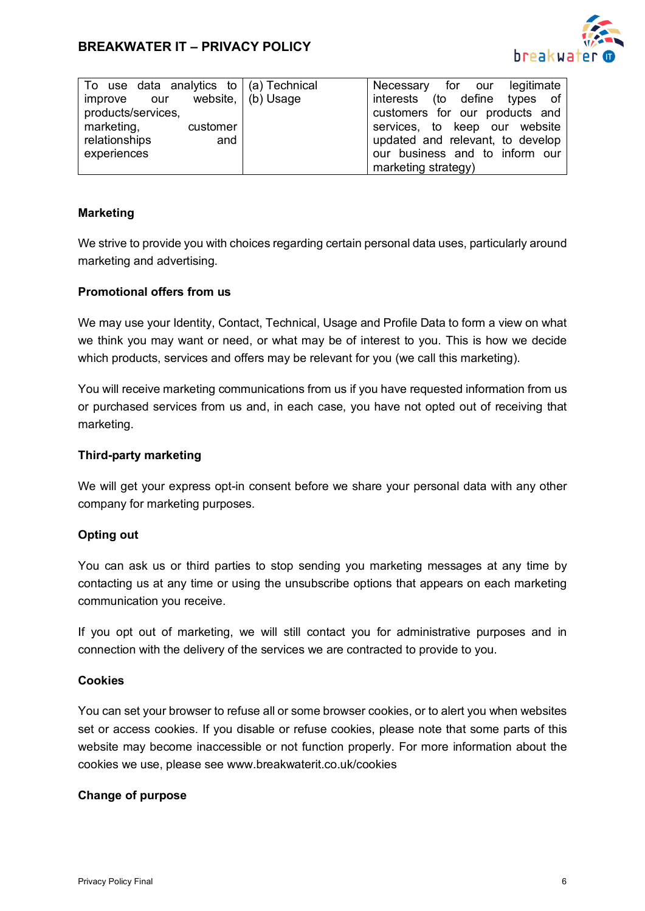

| To use data analytics to $\mid$ (a) Technical<br>improve our<br>products/services, | website,   (b) Usage | Necessary for our legitimate<br>interests (to define types of<br>customers for our products and |
|------------------------------------------------------------------------------------|----------------------|-------------------------------------------------------------------------------------------------|
| marketing,<br>customer<br>relationships<br>and                                     |                      | services, to keep our website<br>updated and relevant, to develop                               |
| experiences                                                                        |                      | our business and to inform our<br>marketing strategy)                                           |

## **Marketing**

We strive to provide you with choices regarding certain personal data uses, particularly around marketing and advertising.

### **Promotional offers from us**

We may use your Identity, Contact, Technical, Usage and Profile Data to form a view on what we think you may want or need, or what may be of interest to you. This is how we decide which products, services and offers may be relevant for you (we call this marketing).

You will receive marketing communications from us if you have requested information from us or purchased services from us and, in each case, you have not opted out of receiving that marketing.

#### **Third-party marketing**

We will get your express opt-in consent before we share your personal data with any other company for marketing purposes.

## **Opting out**

You can ask us or third parties to stop sending you marketing messages at any time by contacting us at any time or using the unsubscribe options that appears on each marketing communication you receive.

If you opt out of marketing, we will still contact you for administrative purposes and in connection with the delivery of the services we are contracted to provide to you.

#### **Cookies**

You can set your browser to refuse all or some browser cookies, or to alert you when websites set or access cookies. If you disable or refuse cookies, please note that some parts of this website may become inaccessible or not function properly. For more information about the cookies we use, please see www.breakwaterit.co.uk/cookies

#### **Change of purpose**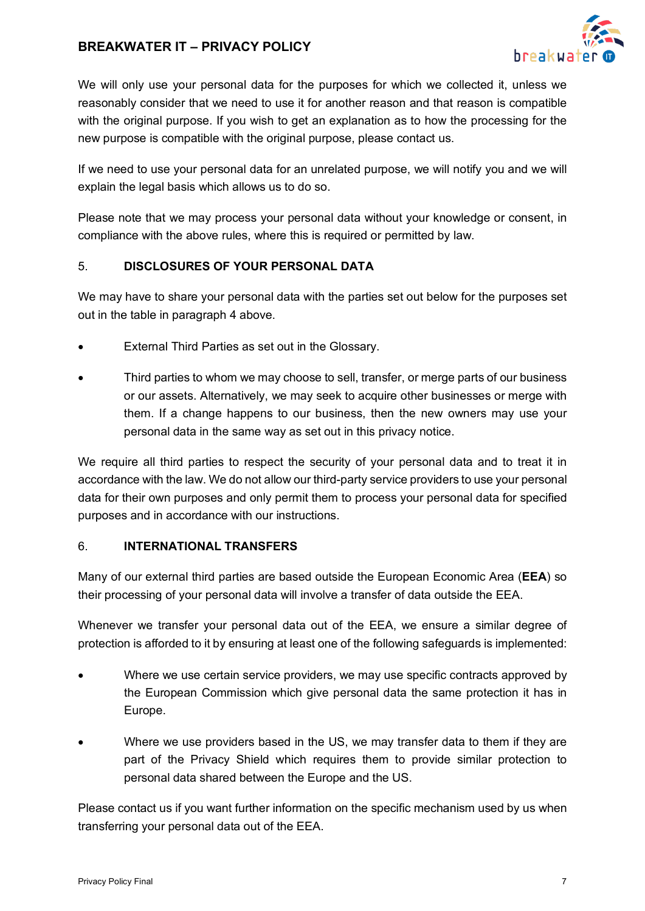

We will only use your personal data for the purposes for which we collected it, unless we reasonably consider that we need to use it for another reason and that reason is compatible with the original purpose. If you wish to get an explanation as to how the processing for the new purpose is compatible with the original purpose, please contact us.

If we need to use your personal data for an unrelated purpose, we will notify you and we will explain the legal basis which allows us to do so.

Please note that we may process your personal data without your knowledge or consent, in compliance with the above rules, where this is required or permitted by law.

## 5. **DISCLOSURES OF YOUR PERSONAL DATA**

We may have to share your personal data with the parties set out below for the purposes set out in the table in paragraph 4 above.

- External Third Parties as set out in the Glossary.
- Third parties to whom we may choose to sell, transfer, or merge parts of our business or our assets. Alternatively, we may seek to acquire other businesses or merge with them. If a change happens to our business, then the new owners may use your personal data in the same way as set out in this privacy notice.

We require all third parties to respect the security of your personal data and to treat it in accordance with the law. We do not allow our third-party service providers to use your personal data for their own purposes and only permit them to process your personal data for specified purposes and in accordance with our instructions.

## 6. **INTERNATIONAL TRANSFERS**

Many of our external third parties are based outside the European Economic Area (**EEA**) so their processing of your personal data will involve a transfer of data outside the EEA.

Whenever we transfer your personal data out of the EEA, we ensure a similar degree of protection is afforded to it by ensuring at least one of the following safeguards is implemented:

- Where we use certain service providers, we may use specific contracts approved by the European Commission which give personal data the same protection it has in Europe.
- Where we use providers based in the US, we may transfer data to them if they are part of the Privacy Shield which requires them to provide similar protection to personal data shared between the Europe and the US.

Please contact us if you want further information on the specific mechanism used by us when transferring your personal data out of the EEA.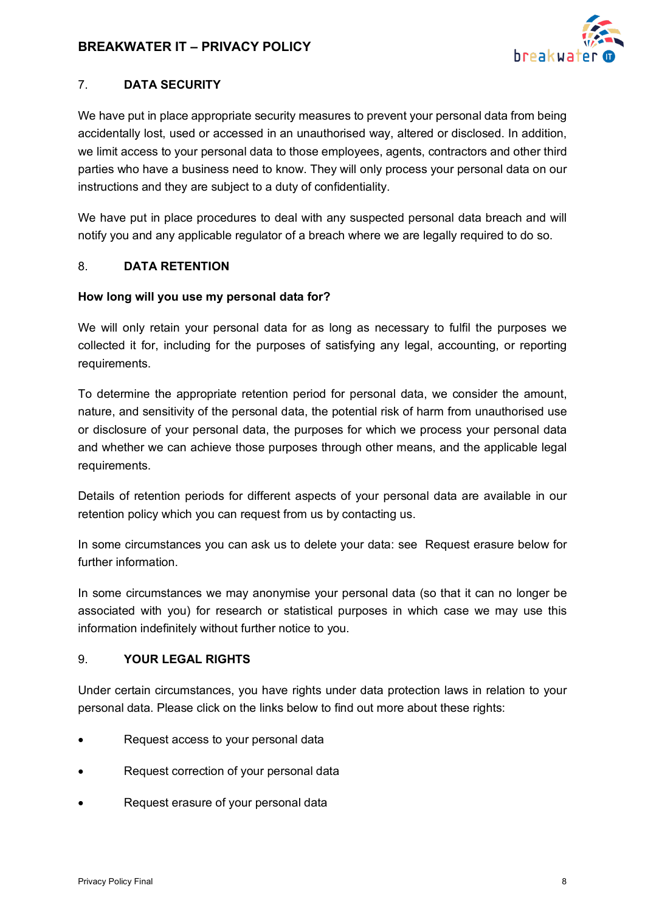

## 7. **DATA SECURITY**

We have put in place appropriate security measures to prevent your personal data from being accidentally lost, used or accessed in an unauthorised way, altered or disclosed. In addition, we limit access to your personal data to those employees, agents, contractors and other third parties who have a business need to know. They will only process your personal data on our instructions and they are subject to a duty of confidentiality.

We have put in place procedures to deal with any suspected personal data breach and will notify you and any applicable regulator of a breach where we are legally required to do so.

## 8. **DATA RETENTION**

## **How long will you use my personal data for?**

We will only retain your personal data for as long as necessary to fulfil the purposes we collected it for, including for the purposes of satisfying any legal, accounting, or reporting requirements.

To determine the appropriate retention period for personal data, we consider the amount, nature, and sensitivity of the personal data, the potential risk of harm from unauthorised use or disclosure of your personal data, the purposes for which we process your personal data and whether we can achieve those purposes through other means, and the applicable legal requirements.

Details of retention periods for different aspects of your personal data are available in our retention policy which you can request from us by contacting us.

In some circumstances you can ask us to delete your data: see Request erasure below for further information.

In some circumstances we may anonymise your personal data (so that it can no longer be associated with you) for research or statistical purposes in which case we may use this information indefinitely without further notice to you.

## 9. **YOUR LEGAL RIGHTS**

Under certain circumstances, you have rights under data protection laws in relation to your personal data. Please click on the links below to find out more about these rights:

- Request access to your personal data
- Request correction of your personal data
- Request erasure of your personal data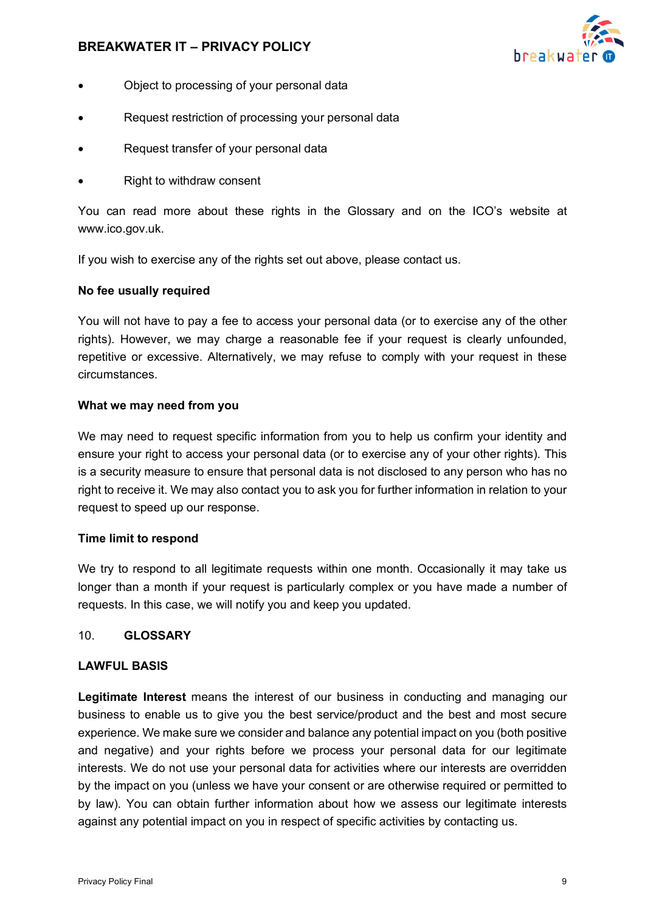

- Object to processing of your personal data
- Request restriction of processing your personal data
- Request transfer of your personal data
- Right to withdraw consent

You can read more about these rights in the Glossary and on the ICO's website at www.ico.gov.uk.

If you wish to exercise any of the rights set out above, please contact us.

### **No fee usually required**

You will not have to pay a fee to access your personal data (or to exercise any of the other rights). However, we may charge a reasonable fee if your request is clearly unfounded, repetitive or excessive. Alternatively, we may refuse to comply with your request in these circumstances.

#### **What we may need from you**

We may need to request specific information from you to help us confirm your identity and ensure your right to access your personal data (or to exercise any of your other rights). This is a security measure to ensure that personal data is not disclosed to any person who has no right to receive it. We may also contact you to ask you for further information in relation to your request to speed up our response.

#### **Time limit to respond**

We try to respond to all legitimate requests within one month. Occasionally it may take us longer than a month if your request is particularly complex or you have made a number of requests. In this case, we will notify you and keep you updated.

## 10. **GLOSSARY**

## **LAWFUL BASIS**

**Legitimate Interest** means the interest of our business in conducting and managing our business to enable us to give you the best service/product and the best and most secure experience. We make sure we consider and balance any potential impact on you (both positive and negative) and your rights before we process your personal data for our legitimate interests. We do not use your personal data for activities where our interests are overridden by the impact on you (unless we have your consent or are otherwise required or permitted to by law). You can obtain further information about how we assess our legitimate interests against any potential impact on you in respect of specific activities by contacting us.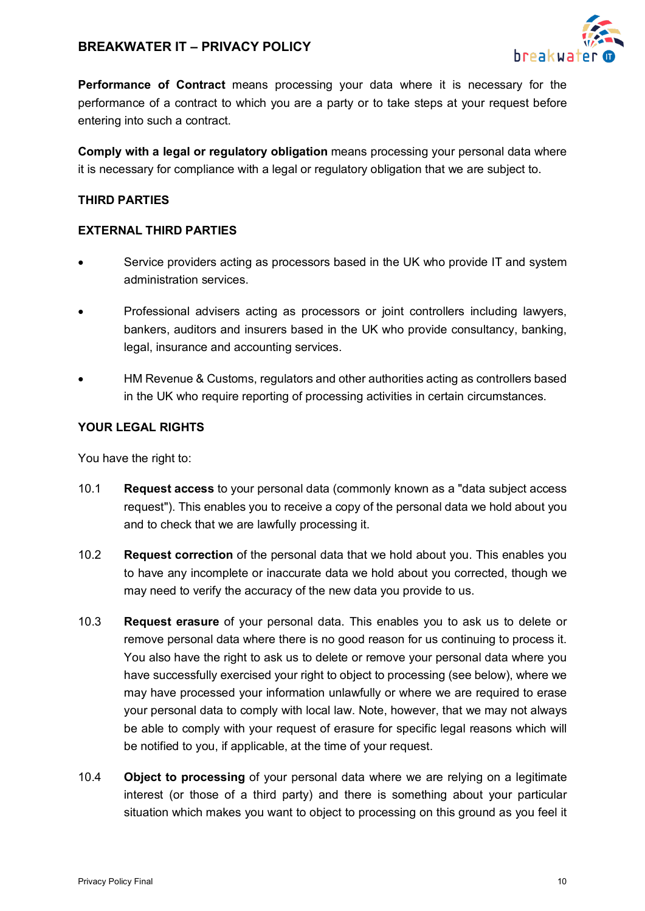

**Performance of Contract** means processing your data where it is necessary for the performance of a contract to which you are a party or to take steps at your request before entering into such a contract.

**Comply with a legal or regulatory obligation** means processing your personal data where it is necessary for compliance with a legal or regulatory obligation that we are subject to.

## **THIRD PARTIES**

#### **EXTERNAL THIRD PARTIES**

- Service providers acting as processors based in the UK who provide IT and system administration services.
- Professional advisers acting as processors or joint controllers including lawyers, bankers, auditors and insurers based in the UK who provide consultancy, banking, legal, insurance and accounting services.
- HM Revenue & Customs, regulators and other authorities acting as controllers based in the UK who require reporting of processing activities in certain circumstances.

## **YOUR LEGAL RIGHTS**

You have the right to:

- 10.1 **Request access** to your personal data (commonly known as a "data subject access request"). This enables you to receive a copy of the personal data we hold about you and to check that we are lawfully processing it.
- 10.2 **Request correction** of the personal data that we hold about you. This enables you to have any incomplete or inaccurate data we hold about you corrected, though we may need to verify the accuracy of the new data you provide to us.
- 10.3 **Request erasure** of your personal data. This enables you to ask us to delete or remove personal data where there is no good reason for us continuing to process it. You also have the right to ask us to delete or remove your personal data where you have successfully exercised your right to object to processing (see below), where we may have processed your information unlawfully or where we are required to erase your personal data to comply with local law. Note, however, that we may not always be able to comply with your request of erasure for specific legal reasons which will be notified to you, if applicable, at the time of your request.
- 10.4 **Object to processing** of your personal data where we are relying on a legitimate interest (or those of a third party) and there is something about your particular situation which makes you want to object to processing on this ground as you feel it